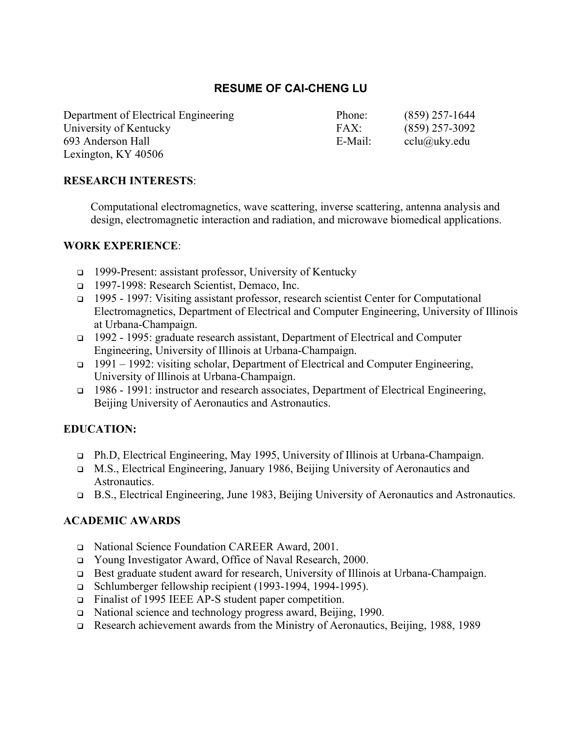# **RESUME OF CAI-CHENG LU**

Department of Electrical Engineering Phone: (859) 257-1644 University of Kentucky FAX: (859) 257-3092 693 Anderson Hall E-Mail: cclu@uky.edu Lexington, KY 40506

### **RESEARCH INTERESTS**:

Computational electromagnetics, wave scattering, inverse scattering, antenna analysis and design, electromagnetic interaction and radiation, and microwave biomedical applications.

#### **WORK EXPERIENCE**:

- <sup>q</sup> 1999-Present: assistant professor, University of Kentucky
- <sup>q</sup> 1997-1998: Research Scientist, Demaco, Inc.
- <sup>q</sup> 1995 1997: Visiting assistant professor, research scientist Center for Computational Electromagnetics, Department of Electrical and Computer Engineering, University of Illinois at Urbana-Champaign.
- <sup>q</sup> 1992 1995: graduate research assistant, Department of Electrical and Computer Engineering, University of Illinois at Urbana-Champaign.
- <sup>q</sup> 1991 1992: visiting scholar, Department of Electrical and Computer Engineering, University of Illinois at Urbana-Champaign.
- <sup>q</sup> 1986 1991: instructor and research associates, Department of Electrical Engineering, Beijing University of Aeronautics and Astronautics.

#### **EDUCATION:**

- <sup>q</sup> Ph.D, Electrical Engineering, May 1995, University of Illinois at Urbana-Champaign.
- <sup>q</sup> M.S., Electrical Engineering, January 1986, Beijing University of Aeronautics and Astronautics.
- <sup>q</sup> B.S., Electrical Engineering, June 1983, Beijing University of Aeronautics and Astronautics.

#### **ACADEMIC AWARDS**

- <sup>q</sup> National Science Foundation CAREER Award, 2001.
- <sup>q</sup> Young Investigator Award, Office of Naval Research, 2000.
- <sup>q</sup> Best graduate student award for research, University of Illinois at Urbana-Champaign.
- <sup>q</sup> Schlumberger fellowship recipient (1993-1994, 1994-1995).
- <sup>q</sup> Finalist of 1995 IEEE AP-S student paper competition.
- <sup>q</sup> National science and technology progress award, Beijing, 1990.
- <sup>q</sup> Research achievement awards from the Ministry of Aeronautics, Beijing, 1988, 1989